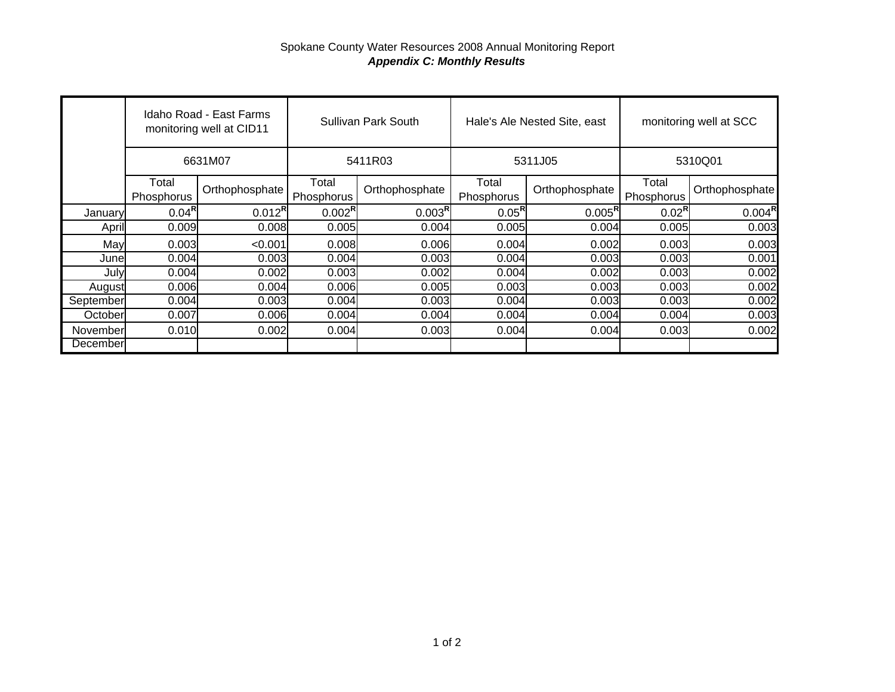## Spokane County Water Resources 2008 Annual Monitoring Report *Appendix C: Monthly Results*

|                      | Idaho Road - East Farms<br>monitoring well at CID11<br>6631M07 |                | Sullivan Park South |                    | Hale's Ale Nested Site, east |                    | monitoring well at SCC |                    |
|----------------------|----------------------------------------------------------------|----------------|---------------------|--------------------|------------------------------|--------------------|------------------------|--------------------|
|                      |                                                                |                | 5411R03             |                    | 5311J05                      |                    | 5310Q01                |                    |
|                      | Total<br>Phosphorus                                            | Orthophosphate | Total<br>Phosphorus | Orthophosphate     | Total<br>Phosphorus          | Orthophosphate     | Total<br>Phosphorus    | Orthophosphate     |
| January              | $0.04^{\sf R}$                                                 | $0.012^R$      | $0.002^R$           | 0.003 <sup>R</sup> | $0.05^{\sf R}$               | $0.005^{\text{R}}$ | $0.02^{\sf R}$         | $0.004^{\text{R}}$ |
| April                | 0.009                                                          | 0.008          | 0.005               | 0.004              | 0.005                        | 0.004              | 0.005                  | 0.003              |
| May                  | 0.003                                                          | < 0.001        | 0.008               | 0.006              | 0.004                        | 0.002              | 0.003                  | 0.003              |
| June                 | 0.004                                                          | 0.003          | 0.004               | 0.003              | 0.004                        | 0.003              | 0.003                  | 0.001              |
| July                 | 0.004                                                          | 0.002          | 0.003               | 0.002              | 0.004                        | 0.002              | 0.003                  | 0.002              |
| August               | 0.006                                                          | 0.004          | 0.006               | 0.005              | 0.003                        | 0.003              | 0.003                  | 0.002              |
| September            | 0.004                                                          | 0.003          | 0.004               | 0.003              | 0.004                        | 0.003              | 0.003                  | 0.002              |
| October              | 0.007                                                          | 0.006          | 0.004               | 0.004              | 0.004                        | 0.004              | 0.004                  | 0.003              |
| November<br>December | 0.010                                                          | 0.002          | 0.004               | 0.003              | 0.004                        | 0.004              | 0.003                  | 0.002              |